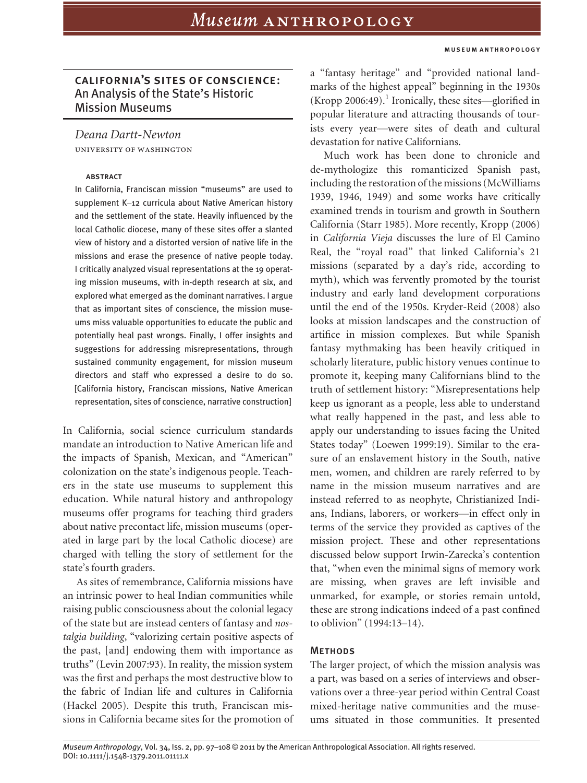### museum anthropology

# california's sites of conscience: An Analysis of the State's Historic Mission Museums

Deana Dartt-Newton UNIVERSITY OF WASHINGTON

### **ABSTRACT**

In California, Franciscan mission "museums" are used to supplement K–12 curricula about Native American history and the settlement of the state. Heavily influenced by the local Catholic diocese, many of these sites offer a slanted view of history and a distorted version of native life in the missions and erase the presence of native people today. I critically analyzed visual representations at the 19 operating mission museums, with in-depth research at six, and explored what emerged as the dominant narratives. I argue that as important sites of conscience, the mission museums miss valuable opportunities to educate the public and potentially heal past wrongs. Finally, I offer insights and suggestions for addressing misrepresentations, through sustained community engagement, for mission museum directors and staff who expressed a desire to do so. [California history, Franciscan missions, Native American representation, sites of conscience, narrative construction]

In California, social science curriculum standards mandate an introduction to Native American life and the impacts of Spanish, Mexican, and "American" colonization on the state's indigenous people. Teachers in the state use museums to supplement this education. While natural history and anthropology museums offer programs for teaching third graders about native precontact life, mission museums (operated in large part by the local Catholic diocese) are charged with telling the story of settlement for the state's fourth graders.

As sites of remembrance, California missions have an intrinsic power to heal Indian communities while raising public consciousness about the colonial legacy of the state but are instead centers of fantasy and nostalgia building, "valorizing certain positive aspects of the past, [and] endowing them with importance as truths" (Levin 2007:93). In reality, the mission system was the first and perhaps the most destructive blow to the fabric of Indian life and cultures in California (Hackel 2005). Despite this truth, Franciscan missions in California became sites for the promotion of

a "fantasy heritage" and "provided national landmarks of the highest appeal" beginning in the 1930s (Kropp 2006:49).<sup>1</sup> Ironically, these sites—glorified in popular literature and attracting thousands of tourists every year—were sites of death and cultural devastation for native Californians.

Much work has been done to chronicle and de-mythologize this romanticized Spanish past, including the restoration of the missions (McWilliams 1939, 1946, 1949) and some works have critically examined trends in tourism and growth in Southern California (Starr 1985). More recently, Kropp (2006) in California Vieja discusses the lure of El Camino Real, the "royal road" that linked California's 21 missions (separated by a day's ride, according to myth), which was fervently promoted by the tourist industry and early land development corporations until the end of the 1950s. Kryder-Reid (2008) also looks at mission landscapes and the construction of artifice in mission complexes. But while Spanish fantasy mythmaking has been heavily critiqued in scholarly literature, public history venues continue to promote it, keeping many Californians blind to the truth of settlement history: "Misrepresentations help keep us ignorant as a people, less able to understand what really happened in the past, and less able to apply our understanding to issues facing the United States today" (Loewen 1999:19). Similar to the erasure of an enslavement history in the South, native men, women, and children are rarely referred to by name in the mission museum narratives and are instead referred to as neophyte, Christianized Indians, Indians, laborers, or workers—in effect only in terms of the service they provided as captives of the mission project. These and other representations discussed below support Irwin-Zarecka's contention that, "when even the minimal signs of memory work are missing, when graves are left invisible and unmarked, for example, or stories remain untold, these are strong indications indeed of a past confined to oblivion" (1994:13–14).

## **METHODS**

The larger project, of which the mission analysis was a part, was based on a series of interviews and observations over a three-year period within Central Coast mixed-heritage native communities and the museums situated in those communities. It presented

Museum Anthropology, Vol. 34, Iss. 2, pp. 97–108 © 2011 by the American Anthropological Association. All rights reserved. DOI: 10.1111/j.1548-1379.2011.01111.x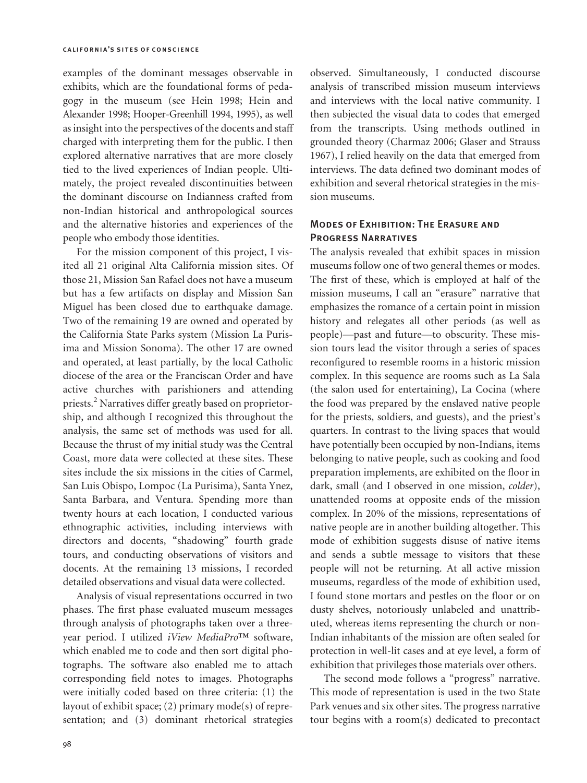examples of the dominant messages observable in exhibits, which are the foundational forms of pedagogy in the museum (see Hein 1998; Hein and Alexander 1998; Hooper-Greenhill 1994, 1995), as well as insight into the perspectives of the docents and staff charged with interpreting them for the public. I then explored alternative narratives that are more closely tied to the lived experiences of Indian people. Ultimately, the project revealed discontinuities between the dominant discourse on Indianness crafted from non-Indian historical and anthropological sources and the alternative histories and experiences of the people who embody those identities.

For the mission component of this project, I visited all 21 original Alta California mission sites. Of those 21, Mission San Rafael does not have a museum but has a few artifacts on display and Mission San Miguel has been closed due to earthquake damage. Two of the remaining 19 are owned and operated by the California State Parks system (Mission La Purisima and Mission Sonoma). The other 17 are owned and operated, at least partially, by the local Catholic diocese of the area or the Franciscan Order and have active churches with parishioners and attending priests.<sup>2</sup> Narratives differ greatly based on proprietorship, and although I recognized this throughout the analysis, the same set of methods was used for all. Because the thrust of my initial study was the Central Coast, more data were collected at these sites. These sites include the six missions in the cities of Carmel, San Luis Obispo, Lompoc (La Purisima), Santa Ynez, Santa Barbara, and Ventura. Spending more than twenty hours at each location, I conducted various ethnographic activities, including interviews with directors and docents, "shadowing" fourth grade tours, and conducting observations of visitors and docents. At the remaining 13 missions, I recorded detailed observations and visual data were collected.

Analysis of visual representations occurred in two phases. The first phase evaluated museum messages through analysis of photographs taken over a threeyear period. I utilized *iView MediaPro*™ software, which enabled me to code and then sort digital photographs. The software also enabled me to attach corresponding field notes to images. Photographs were initially coded based on three criteria: (1) the layout of exhibit space; (2) primary mode(s) of representation; and (3) dominant rhetorical strategies

observed. Simultaneously, I conducted discourse analysis of transcribed mission museum interviews and interviews with the local native community. I then subjected the visual data to codes that emerged from the transcripts. Using methods outlined in grounded theory (Charmaz 2006; Glaser and Strauss 1967), I relied heavily on the data that emerged from interviews. The data defined two dominant modes of exhibition and several rhetorical strategies in the mission museums.

# Modes of Exhibition: The Erasure and Progress Narratives

The analysis revealed that exhibit spaces in mission museums follow one of two general themes or modes. The first of these, which is employed at half of the mission museums, I call an "erasure" narrative that emphasizes the romance of a certain point in mission history and relegates all other periods (as well as people)—past and future—to obscurity. These mission tours lead the visitor through a series of spaces reconfigured to resemble rooms in a historic mission complex. In this sequence are rooms such as La Sala (the salon used for entertaining), La Cocina (where the food was prepared by the enslaved native people for the priests, soldiers, and guests), and the priest's quarters. In contrast to the living spaces that would have potentially been occupied by non-Indians, items belonging to native people, such as cooking and food preparation implements, are exhibited on the floor in dark, small (and I observed in one mission, colder), unattended rooms at opposite ends of the mission complex. In 20% of the missions, representations of native people are in another building altogether. This mode of exhibition suggests disuse of native items and sends a subtle message to visitors that these people will not be returning. At all active mission museums, regardless of the mode of exhibition used, I found stone mortars and pestles on the floor or on dusty shelves, notoriously unlabeled and unattributed, whereas items representing the church or non-Indian inhabitants of the mission are often sealed for protection in well-lit cases and at eye level, a form of exhibition that privileges those materials over others.

The second mode follows a "progress" narrative. This mode of representation is used in the two State Park venues and six other sites. The progress narrative tour begins with a room(s) dedicated to precontact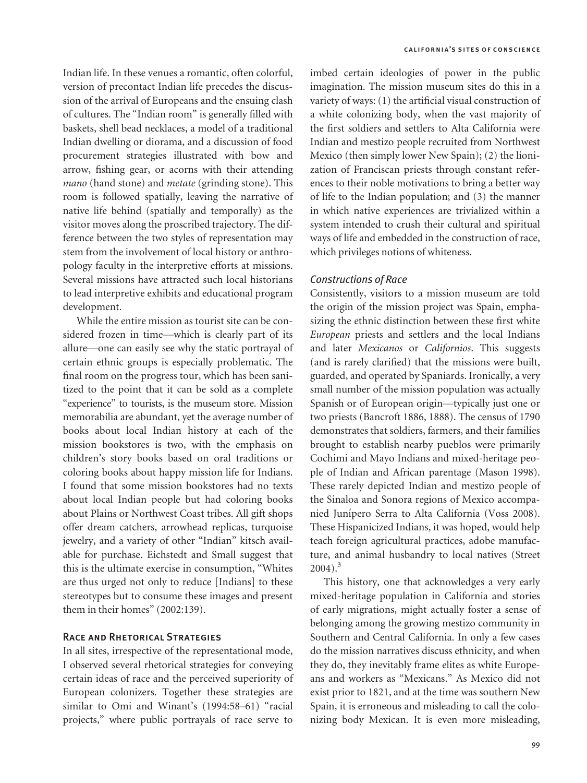Indian life. In these venues a romantic, often colorful, version of precontact Indian life precedes the discussion of the arrival of Europeans and the ensuing clash of cultures. The "Indian room" is generally filled with baskets, shell bead necklaces, a model of a traditional Indian dwelling or diorama, and a discussion of food procurement strategies illustrated with bow and arrow, fishing gear, or acorns with their attending mano (hand stone) and metate (grinding stone). This room is followed spatially, leaving the narrative of native life behind (spatially and temporally) as the visitor moves along the proscribed trajectory. The difference between the two styles of representation may stem from the involvement of local history or anthropology faculty in the interpretive efforts at missions. Several missions have attracted such local historians to lead interpretive exhibits and educational program development.

While the entire mission as tourist site can be considered frozen in time—which is clearly part of its allure—one can easily see why the static portrayal of certain ethnic groups is especially problematic. The final room on the progress tour, which has been sanitized to the point that it can be sold as a complete "experience" to tourists, is the museum store. Mission memorabilia are abundant, yet the average number of books about local Indian history at each of the mission bookstores is two, with the emphasis on children's story books based on oral traditions or coloring books about happy mission life for Indians. I found that some mission bookstores had no texts about local Indian people but had coloring books about Plains or Northwest Coast tribes. All gift shops offer dream catchers, arrowhead replicas, turquoise jewelry, and a variety of other "Indian" kitsch available for purchase. Eichstedt and Small suggest that this is the ultimate exercise in consumption, "Whites are thus urged not only to reduce [Indians] to these stereotypes but to consume these images and present them in their homes" (2002:139).

### Race and Rhetorical Strategies

In all sites, irrespective of the representational mode, I observed several rhetorical strategies for conveying certain ideas of race and the perceived superiority of European colonizers. Together these strategies are similar to Omi and Winant's (1994:58–61) "racial projects," where public portrayals of race serve to

imbed certain ideologies of power in the public imagination. The mission museum sites do this in a variety of ways: (1) the artificial visual construction of a white colonizing body, when the vast majority of the first soldiers and settlers to Alta California were Indian and mestizo people recruited from Northwest Mexico (then simply lower New Spain); (2) the lionization of Franciscan priests through constant references to their noble motivations to bring a better way of life to the Indian population; and (3) the manner in which native experiences are trivialized within a system intended to crush their cultural and spiritual ways of life and embedded in the construction of race, which privileges notions of whiteness.

Consistently, visitors to a mission museum are told the origin of the mission project was Spain, emphasizing the ethnic distinction between these first white European priests and settlers and the local Indians and later Mexicanos or Californios. This suggests (and is rarely clarified) that the missions were built, guarded, and operated by Spaniards. Ironically, a very small number of the mission population was actually Spanish or of European origin—typically just one or two priests (Bancroft 1886, 1888). The census of 1790 demonstrates that soldiers, farmers, and their families brought to establish nearby pueblos were primarily Cochimi and Mayo Indians and mixed-heritage people of Indian and African parentage (Mason 1998). These rarely depicted Indian and mestizo people of the Sinaloa and Sonora regions of Mexico accompanied Junípero Serra to Alta California (Voss 2008). These Hispanicized Indians, it was hoped, would help teach foreign agricultural practices, adobe manufacture, and animal husbandry to local natives (Street  $2004$ )<sup>3</sup>

This history, one that acknowledges a very early mixed-heritage population in California and stories of early migrations, might actually foster a sense of belonging among the growing mestizo community in Southern and Central California. In only a few cases do the mission narratives discuss ethnicity, and when they do, they inevitably frame elites as white Europeans and workers as "Mexicans." As Mexico did not exist prior to 1821, and at the time was southern New Spain, it is erroneous and misleading to call the colonizing body Mexican. It is even more misleading,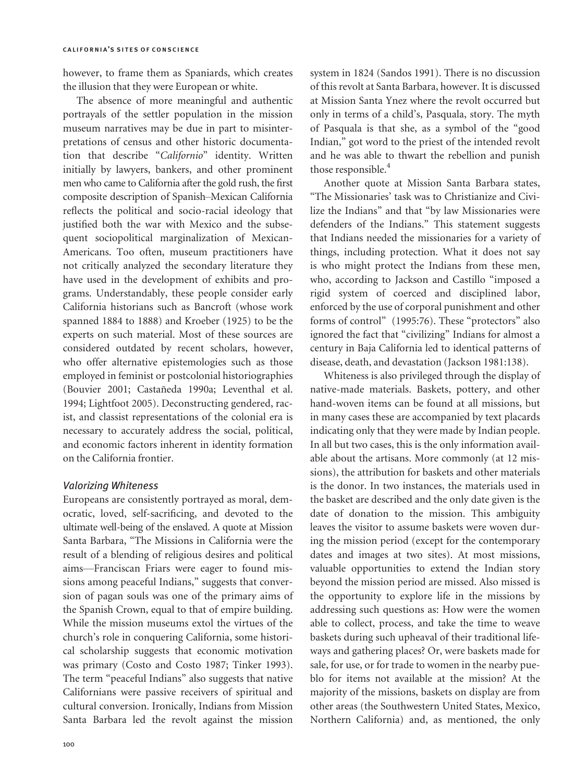however, to frame them as Spaniards, which creates the illusion that they were European or white.

The absence of more meaningful and authentic portrayals of the settler population in the mission museum narratives may be due in part to misinterpretations of census and other historic documentation that describe "Californio" identity. Written initially by lawyers, bankers, and other prominent men who came to California after the gold rush, the first composite description of Spanish–Mexican California reflects the political and socio-racial ideology that justified both the war with Mexico and the subsequent sociopolitical marginalization of Mexican-Americans. Too often, museum practitioners have not critically analyzed the secondary literature they have used in the development of exhibits and programs. Understandably, these people consider early California historians such as Bancroft (whose work spanned 1884 to 1888) and Kroeber (1925) to be the experts on such material. Most of these sources are considered outdated by recent scholars, however, who offer alternative epistemologies such as those employed in feminist or postcolonial historiographies (Bouvier 2001; Castañeda 1990a; Leventhal et al. 1994; Lightfoot 2005). Deconstructing gendered, racist, and classist representations of the colonial era is necessary to accurately address the social, political, and economic factors inherent in identity formation on the California frontier.

Europeans are consistently portrayed as moral, democratic, loved, self-sacrificing, and devoted to the ultimate well-being of the enslaved. A quote at Mission Santa Barbara, "The Missions in California were the result of a blending of religious desires and political aims—Franciscan Friars were eager to found missions among peaceful Indians," suggests that conversion of pagan souls was one of the primary aims of the Spanish Crown, equal to that of empire building. While the mission museums extol the virtues of the church's role in conquering California, some historical scholarship suggests that economic motivation was primary (Costo and Costo 1987; Tinker 1993). The term "peaceful Indians" also suggests that native Californians were passive receivers of spiritual and cultural conversion. Ironically, Indians from Mission Santa Barbara led the revolt against the mission

system in 1824 (Sandos 1991). There is no discussion of this revolt at Santa Barbara, however. It is discussed at Mission Santa Ynez where the revolt occurred but only in terms of a child's, Pasquala, story. The myth of Pasquala is that she, as a symbol of the "good Indian," got word to the priest of the intended revolt and he was able to thwart the rebellion and punish those responsible.<sup>4</sup>

Another quote at Mission Santa Barbara states, "The Missionaries' task was to Christianize and Civilize the Indians" and that "by law Missionaries were defenders of the Indians." This statement suggests that Indians needed the missionaries for a variety of things, including protection. What it does not say is who might protect the Indians from these men, who, according to Jackson and Castillo "imposed a rigid system of coerced and disciplined labor, enforced by the use of corporal punishment and other forms of control" (1995:76). These "protectors" also ignored the fact that "civilizing" Indians for almost a century in Baja California led to identical patterns of disease, death, and devastation (Jackson 1981:138).

Whiteness is also privileged through the display of native-made materials. Baskets, pottery, and other hand-woven items can be found at all missions, but in many cases these are accompanied by text placards indicating only that they were made by Indian people. In all but two cases, this is the only information available about the artisans. More commonly (at 12 missions), the attribution for baskets and other materials is the donor. In two instances, the materials used in the basket are described and the only date given is the date of donation to the mission. This ambiguity leaves the visitor to assume baskets were woven during the mission period (except for the contemporary dates and images at two sites). At most missions, valuable opportunities to extend the Indian story beyond the mission period are missed. Also missed is the opportunity to explore life in the missions by addressing such questions as: How were the women able to collect, process, and take the time to weave baskets during such upheaval of their traditional lifeways and gathering places? Or, were baskets made for sale, for use, or for trade to women in the nearby pueblo for items not available at the mission? At the majority of the missions, baskets on display are from other areas (the Southwestern United States, Mexico, Northern California) and, as mentioned, the only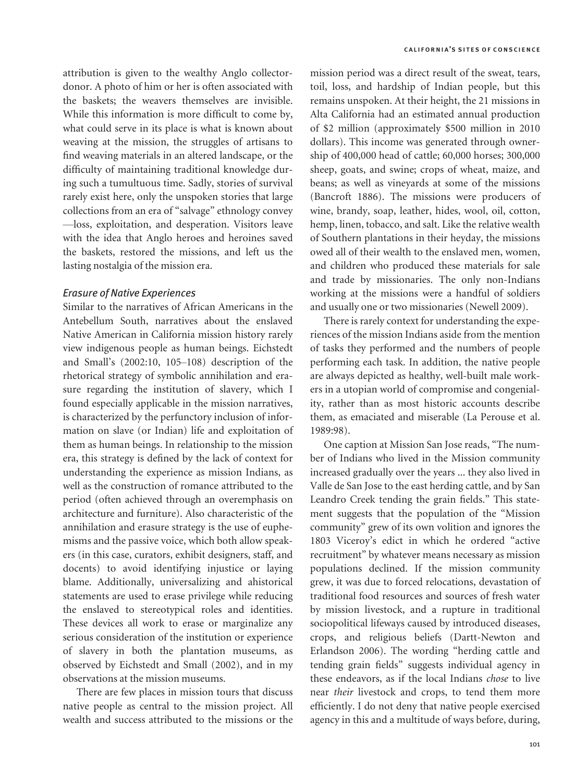attribution is given to the wealthy Anglo collectordonor. A photo of him or her is often associated with the baskets; the weavers themselves are invisible. While this information is more difficult to come by, what could serve in its place is what is known about weaving at the mission, the struggles of artisans to find weaving materials in an altered landscape, or the difficulty of maintaining traditional knowledge during such a tumultuous time. Sadly, stories of survival rarely exist here, only the unspoken stories that large collections from an era of "salvage" ethnology convey —loss, exploitation, and desperation. Visitors leave with the idea that Anglo heroes and heroines saved the baskets, restored the missions, and left us the lasting nostalgia of the mission era.

Similar to the narratives of African Americans in the Antebellum South, narratives about the enslaved Native American in California mission history rarely view indigenous people as human beings. Eichstedt and Small's (2002:10, 105–108) description of the rhetorical strategy of symbolic annihilation and erasure regarding the institution of slavery, which I found especially applicable in the mission narratives, is characterized by the perfunctory inclusion of information on slave (or Indian) life and exploitation of them as human beings. In relationship to the mission era, this strategy is defined by the lack of context for understanding the experience as mission Indians, as well as the construction of romance attributed to the period (often achieved through an overemphasis on architecture and furniture). Also characteristic of the annihilation and erasure strategy is the use of euphemisms and the passive voice, which both allow speakers (in this case, curators, exhibit designers, staff, and docents) to avoid identifying injustice or laying blame. Additionally, universalizing and ahistorical statements are used to erase privilege while reducing the enslaved to stereotypical roles and identities. These devices all work to erase or marginalize any serious consideration of the institution or experience of slavery in both the plantation museums, as observed by Eichstedt and Small (2002), and in my observations at the mission museums.

There are few places in mission tours that discuss native people as central to the mission project. All wealth and success attributed to the missions or the

mission period was a direct result of the sweat, tears, toil, loss, and hardship of Indian people, but this remains unspoken. At their height, the 21 missions in Alta California had an estimated annual production of \$2 million (approximately \$500 million in 2010 dollars). This income was generated through ownership of 400,000 head of cattle; 60,000 horses; 300,000 sheep, goats, and swine; crops of wheat, maize, and beans; as well as vineyards at some of the missions (Bancroft 1886). The missions were producers of wine, brandy, soap, leather, hides, wool, oil, cotton, hemp, linen, tobacco, and salt. Like the relative wealth of Southern plantations in their heyday, the missions owed all of their wealth to the enslaved men, women, and children who produced these materials for sale and trade by missionaries. The only non-Indians working at the missions were a handful of soldiers and usually one or two missionaries (Newell 2009).

There is rarely context for understanding the experiences of the mission Indians aside from the mention of tasks they performed and the numbers of people performing each task. In addition, the native people are always depicted as healthy, well-built male workers in a utopian world of compromise and congeniality, rather than as most historic accounts describe them, as emaciated and miserable (La Perouse et al. 1989:98).

One caption at Mission San Jose reads, "The number of Indians who lived in the Mission community increased gradually over the years ... they also lived in Valle de San Jose to the east herding cattle, and by San Leandro Creek tending the grain fields." This statement suggests that the population of the "Mission community" grew of its own volition and ignores the 1803 Viceroy's edict in which he ordered "active recruitment" by whatever means necessary as mission populations declined. If the mission community grew, it was due to forced relocations, devastation of traditional food resources and sources of fresh water by mission livestock, and a rupture in traditional sociopolitical lifeways caused by introduced diseases, crops, and religious beliefs (Dartt-Newton and Erlandson 2006). The wording "herding cattle and tending grain fields" suggests individual agency in these endeavors, as if the local Indians chose to live near their livestock and crops, to tend them more efficiently. I do not deny that native people exercised agency in this and a multitude of ways before, during,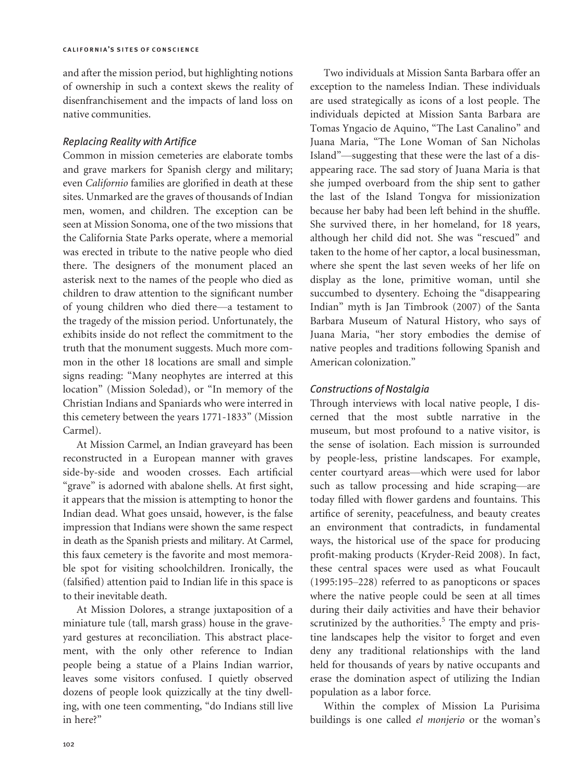and after the mission period, but highlighting notions of ownership in such a context skews the reality of disenfranchisement and the impacts of land loss on native communities.

Common in mission cemeteries are elaborate tombs and grave markers for Spanish clergy and military; even Californio families are glorified in death at these sites. Unmarked are the graves of thousands of Indian men, women, and children. The exception can be seen at Mission Sonoma, one of the two missions that the California State Parks operate, where a memorial was erected in tribute to the native people who died there. The designers of the monument placed an asterisk next to the names of the people who died as children to draw attention to the significant number of young children who died there—a testament to the tragedy of the mission period. Unfortunately, the exhibits inside do not reflect the commitment to the truth that the monument suggests. Much more common in the other 18 locations are small and simple signs reading: "Many neophytes are interred at this location" (Mission Soledad), or "In memory of the Christian Indians and Spaniards who were interred in this cemetery between the years 1771-1833" (Mission Carmel).

At Mission Carmel, an Indian graveyard has been reconstructed in a European manner with graves side-by-side and wooden crosses. Each artificial "grave" is adorned with abalone shells. At first sight, it appears that the mission is attempting to honor the Indian dead. What goes unsaid, however, is the false impression that Indians were shown the same respect in death as the Spanish priests and military. At Carmel, this faux cemetery is the favorite and most memorable spot for visiting schoolchildren. Ironically, the (falsified) attention paid to Indian life in this space is to their inevitable death.

At Mission Dolores, a strange juxtaposition of a miniature tule (tall, marsh grass) house in the graveyard gestures at reconciliation. This abstract placement, with the only other reference to Indian people being a statue of a Plains Indian warrior, leaves some visitors confused. I quietly observed dozens of people look quizzically at the tiny dwelling, with one teen commenting, "do Indians still live in here?"

Two individuals at Mission Santa Barbara offer an exception to the nameless Indian. These individuals are used strategically as icons of a lost people. The individuals depicted at Mission Santa Barbara are Tomas Yngacio de Aquino, "The Last Canalino" and Juana Maria, "The Lone Woman of San Nicholas Island"—suggesting that these were the last of a disappearing race. The sad story of Juana Maria is that she jumped overboard from the ship sent to gather the last of the Island Tongva for missionization because her baby had been left behind in the shuffle. She survived there, in her homeland, for 18 years, although her child did not. She was "rescued" and taken to the home of her captor, a local businessman, where she spent the last seven weeks of her life on display as the lone, primitive woman, until she succumbed to dysentery. Echoing the "disappearing Indian" myth is Jan Timbrook (2007) of the Santa Barbara Museum of Natural History, who says of Juana Maria, "her story embodies the demise of native peoples and traditions following Spanish and American colonization."

Through interviews with local native people, I discerned that the most subtle narrative in the museum, but most profound to a native visitor, is the sense of isolation. Each mission is surrounded by people-less, pristine landscapes. For example, center courtyard areas—which were used for labor such as tallow processing and hide scraping—are today filled with flower gardens and fountains. This artifice of serenity, peacefulness, and beauty creates an environment that contradicts, in fundamental ways, the historical use of the space for producing profit-making products (Kryder-Reid 2008). In fact, these central spaces were used as what Foucault (1995:195–228) referred to as panopticons or spaces where the native people could be seen at all times during their daily activities and have their behavior scrutinized by the authorities.<sup>5</sup> The empty and pristine landscapes help the visitor to forget and even deny any traditional relationships with the land held for thousands of years by native occupants and erase the domination aspect of utilizing the Indian population as a labor force.

Within the complex of Mission La Purisima buildings is one called el monjerio or the woman's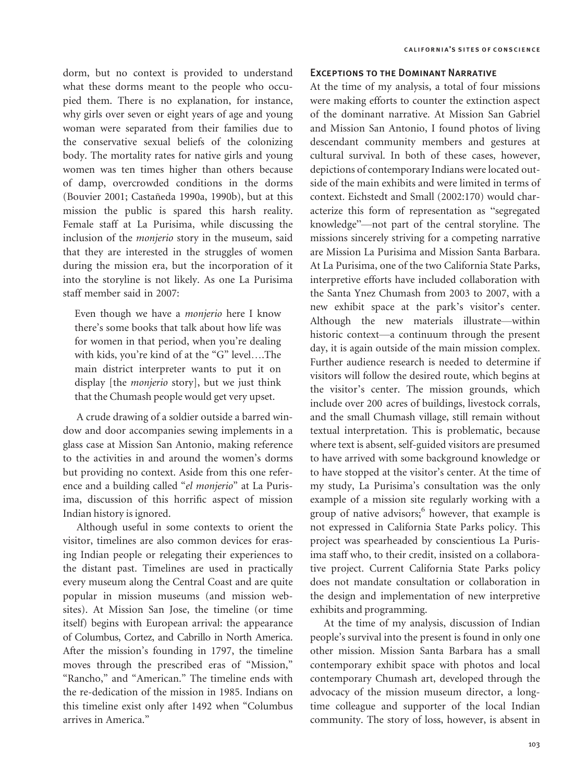dorm, but no context is provided to understand what these dorms meant to the people who occupied them. There is no explanation, for instance, why girls over seven or eight years of age and young woman were separated from their families due to the conservative sexual beliefs of the colonizing body. The mortality rates for native girls and young women was ten times higher than others because of damp, overcrowded conditions in the dorms (Bouvier 2001; Castañeda 1990a, 1990b), but at this mission the public is spared this harsh reality. Female staff at La Purisima, while discussing the inclusion of the monjerio story in the museum, said that they are interested in the struggles of women during the mission era, but the incorporation of it into the storyline is not likely. As one La Purisima staff member said in 2007:

Even though we have a monjerio here I know there's some books that talk about how life was for women in that period, when you're dealing with kids, you're kind of at the "G" level….The main district interpreter wants to put it on display [the monjerio story], but we just think that the Chumash people would get very upset.

A crude drawing of a soldier outside a barred window and door accompanies sewing implements in a glass case at Mission San Antonio, making reference to the activities in and around the women's dorms but providing no context. Aside from this one reference and a building called "el monjerio" at La Purisima, discussion of this horrific aspect of mission Indian history is ignored.

Although useful in some contexts to orient the visitor, timelines are also common devices for erasing Indian people or relegating their experiences to the distant past. Timelines are used in practically every museum along the Central Coast and are quite popular in mission museums (and mission websites). At Mission San Jose, the timeline (or time itself) begins with European arrival: the appearance of Columbus, Cortez, and Cabrillo in North America. After the mission's founding in 1797, the timeline moves through the prescribed eras of "Mission," "Rancho," and "American." The timeline ends with the re-dedication of the mission in 1985. Indians on this timeline exist only after 1492 when "Columbus arrives in America."

## Exceptions to the Dominant Narrative

At the time of my analysis, a total of four missions were making efforts to counter the extinction aspect of the dominant narrative. At Mission San Gabriel and Mission San Antonio, I found photos of living descendant community members and gestures at cultural survival. In both of these cases, however, depictions of contemporary Indians were located outside of the main exhibits and were limited in terms of context. Eichstedt and Small (2002:170) would characterize this form of representation as "segregated knowledge"—not part of the central storyline. The missions sincerely striving for a competing narrative are Mission La Purisima and Mission Santa Barbara. At La Purisima, one of the two California State Parks, interpretive efforts have included collaboration with the Santa Ynez Chumash from 2003 to 2007, with a new exhibit space at the park's visitor's center. Although the new materials illustrate—within historic context—a continuum through the present day, it is again outside of the main mission complex. Further audience research is needed to determine if visitors will follow the desired route, which begins at the visitor's center. The mission grounds, which include over 200 acres of buildings, livestock corrals, and the small Chumash village, still remain without textual interpretation. This is problematic, because where text is absent, self-guided visitors are presumed to have arrived with some background knowledge or to have stopped at the visitor's center. At the time of my study, La Purisima's consultation was the only example of a mission site regularly working with a group of native advisors; $6$  however, that example is not expressed in California State Parks policy. This project was spearheaded by conscientious La Purisima staff who, to their credit, insisted on a collaborative project. Current California State Parks policy does not mandate consultation or collaboration in the design and implementation of new interpretive exhibits and programming.

At the time of my analysis, discussion of Indian people's survival into the present is found in only one other mission. Mission Santa Barbara has a small contemporary exhibit space with photos and local contemporary Chumash art, developed through the advocacy of the mission museum director, a longtime colleague and supporter of the local Indian community. The story of loss, however, is absent in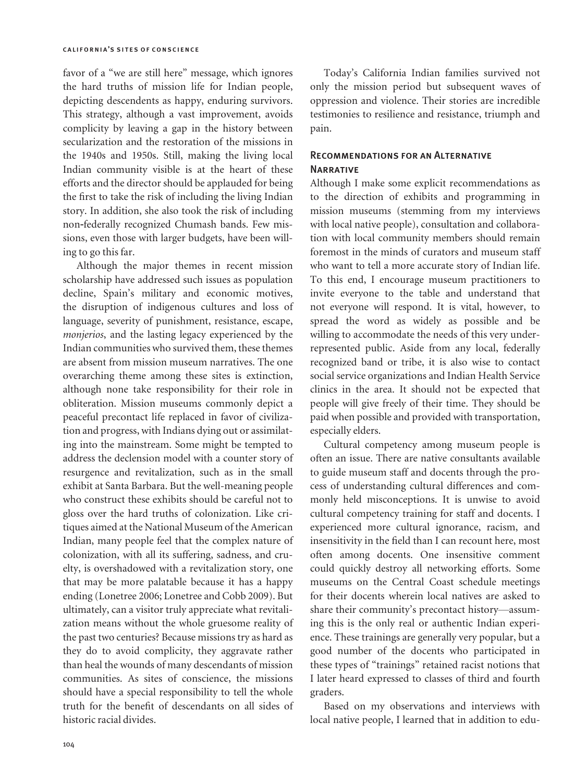favor of a "we are still here" message, which ignores the hard truths of mission life for Indian people, depicting descendents as happy, enduring survivors. This strategy, although a vast improvement, avoids complicity by leaving a gap in the history between secularization and the restoration of the missions in the 1940s and 1950s. Still, making the living local Indian community visible is at the heart of these efforts and the director should be applauded for being the first to take the risk of including the living Indian story. In addition, she also took the risk of including non‐federally recognized Chumash bands. Few missions, even those with larger budgets, have been willing to go this far.

Although the major themes in recent mission scholarship have addressed such issues as population decline, Spain's military and economic motives, the disruption of indigenous cultures and loss of language, severity of punishment, resistance, escape, monjerios, and the lasting legacy experienced by the Indian communities who survived them, these themes are absent from mission museum narratives. The one overarching theme among these sites is extinction, although none take responsibility for their role in obliteration. Mission museums commonly depict a peaceful precontact life replaced in favor of civilization and progress, with Indians dying out or assimilating into the mainstream. Some might be tempted to address the declension model with a counter story of resurgence and revitalization, such as in the small exhibit at Santa Barbara. But the well-meaning people who construct these exhibits should be careful not to gloss over the hard truths of colonization. Like critiques aimed at the National Museum of the American Indian, many people feel that the complex nature of colonization, with all its suffering, sadness, and cruelty, is overshadowed with a revitalization story, one that may be more palatable because it has a happy ending (Lonetree 2006; Lonetree and Cobb 2009). But ultimately, can a visitor truly appreciate what revitalization means without the whole gruesome reality of the past two centuries? Because missions try as hard as they do to avoid complicity, they aggravate rather than heal the wounds of many descendants of mission communities. As sites of conscience, the missions should have a special responsibility to tell the whole truth for the benefit of descendants on all sides of historic racial divides.

Today's California Indian families survived not only the mission period but subsequent waves of oppression and violence. Their stories are incredible testimonies to resilience and resistance, triumph and pain.

# Recommendations for an Alternative **NARRATIVE**

Although I make some explicit recommendations as to the direction of exhibits and programming in mission museums (stemming from my interviews with local native people), consultation and collaboration with local community members should remain foremost in the minds of curators and museum staff who want to tell a more accurate story of Indian life. To this end, I encourage museum practitioners to invite everyone to the table and understand that not everyone will respond. It is vital, however, to spread the word as widely as possible and be willing to accommodate the needs of this very underrepresented public. Aside from any local, federally recognized band or tribe, it is also wise to contact social service organizations and Indian Health Service clinics in the area. It should not be expected that people will give freely of their time. They should be paid when possible and provided with transportation, especially elders.

Cultural competency among museum people is often an issue. There are native consultants available to guide museum staff and docents through the process of understanding cultural differences and commonly held misconceptions. It is unwise to avoid cultural competency training for staff and docents. I experienced more cultural ignorance, racism, and insensitivity in the field than I can recount here, most often among docents. One insensitive comment could quickly destroy all networking efforts. Some museums on the Central Coast schedule meetings for their docents wherein local natives are asked to share their community's precontact history—assuming this is the only real or authentic Indian experience. These trainings are generally very popular, but a good number of the docents who participated in these types of "trainings" retained racist notions that I later heard expressed to classes of third and fourth graders.

Based on my observations and interviews with local native people, I learned that in addition to edu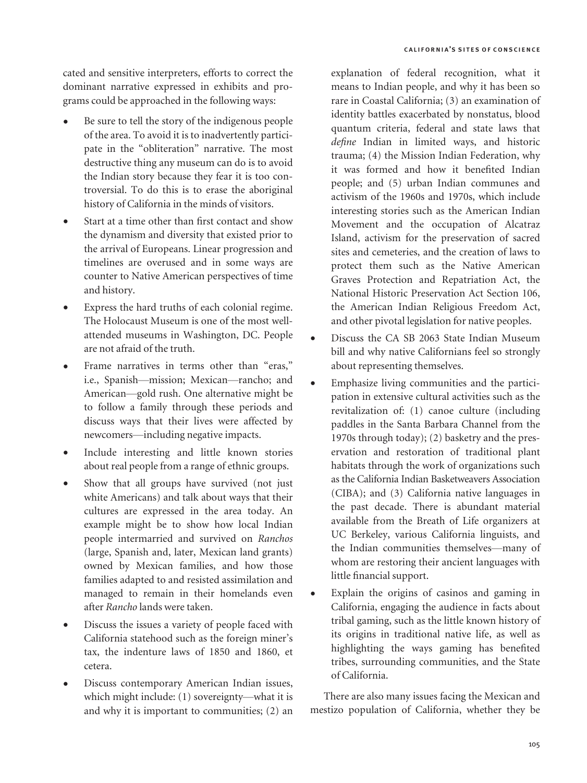cated and sensitive interpreters, efforts to correct the dominant narrative expressed in exhibits and programs could be approached in the following ways:

- Be sure to tell the story of the indigenous people of the area. To avoid it is to inadvertently participate in the "obliteration" narrative. The most destructive thing any museum can do is to avoid the Indian story because they fear it is too controversial. To do this is to erase the aboriginal history of California in the minds of visitors.
- Start at a time other than first contact and show the dynamism and diversity that existed prior to the arrival of Europeans. Linear progression and timelines are overused and in some ways are counter to Native American perspectives of time and history.
- Express the hard truths of each colonial regime. The Holocaust Museum is one of the most wellattended museums in Washington, DC. People are not afraid of the truth.
- Frame narratives in terms other than "eras," i.e., Spanish—mission; Mexican—rancho; and American—gold rush. One alternative might be to follow a family through these periods and discuss ways that their lives were affected by newcomers—including negative impacts.
- Include interesting and little known stories about real people from a range of ethnic groups.
- Show that all groups have survived (not just white Americans) and talk about ways that their cultures are expressed in the area today. An example might be to show how local Indian people intermarried and survived on Ranchos (large, Spanish and, later, Mexican land grants) owned by Mexican families, and how those families adapted to and resisted assimilation and managed to remain in their homelands even after Rancho lands were taken.
- Discuss the issues a variety of people faced with California statehood such as the foreign miner's tax, the indenture laws of 1850 and 1860, et cetera.
- Discuss contemporary American Indian issues, which might include: (1) sovereignty—what it is and why it is important to communities; (2) an

explanation of federal recognition, what it means to Indian people, and why it has been so rare in Coastal California; (3) an examination of identity battles exacerbated by nonstatus, blood quantum criteria, federal and state laws that define Indian in limited ways, and historic trauma; (4) the Mission Indian Federation, why it was formed and how it benefited Indian people; and (5) urban Indian communes and activism of the 1960s and 1970s, which include interesting stories such as the American Indian Movement and the occupation of Alcatraz Island, activism for the preservation of sacred sites and cemeteries, and the creation of laws to protect them such as the Native American Graves Protection and Repatriation Act, the National Historic Preservation Act Section 106, the American Indian Religious Freedom Act, and other pivotal legislation for native peoples.

- Discuss the CA SB 2063 State Indian Museum bill and why native Californians feel so strongly about representing themselves.
- Emphasize living communities and the participation in extensive cultural activities such as the revitalization of: (1) canoe culture (including paddles in the Santa Barbara Channel from the 1970s through today); (2) basketry and the preservation and restoration of traditional plant habitats through the work of organizations such as the California Indian Basketweavers Association (CIBA); and (3) California native languages in the past decade. There is abundant material available from the Breath of Life organizers at UC Berkeley, various California linguists, and the Indian communities themselves—many of whom are restoring their ancient languages with little financial support.
- Explain the origins of casinos and gaming in California, engaging the audience in facts about tribal gaming, such as the little known history of its origins in traditional native life, as well as highlighting the ways gaming has benefited tribes, surrounding communities, and the State of California.

There are also many issues facing the Mexican and mestizo population of California, whether they be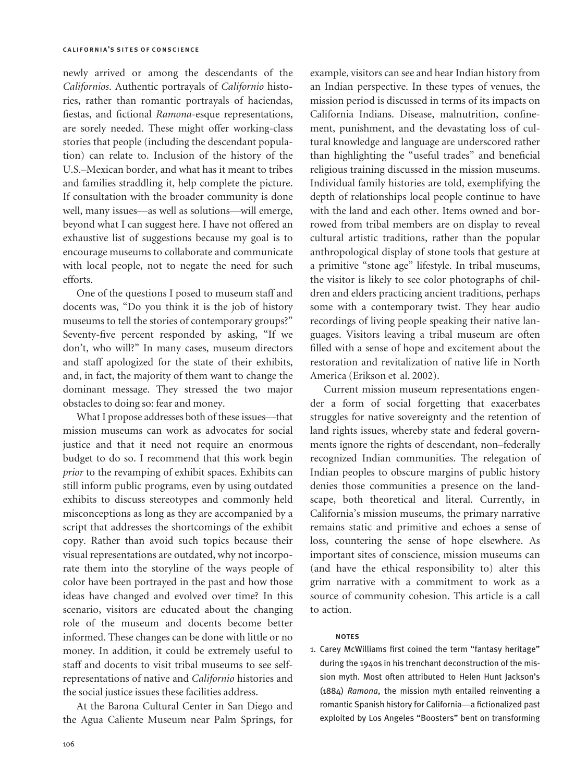newly arrived or among the descendants of the Californios. Authentic portrayals of Californio histories, rather than romantic portrayals of haciendas, fiestas, and fictional Ramona-esque representations, are sorely needed. These might offer working-class stories that people (including the descendant population) can relate to. Inclusion of the history of the U.S.–Mexican border, and what has it meant to tribes and families straddling it, help complete the picture. If consultation with the broader community is done well, many issues—as well as solutions—will emerge, beyond what I can suggest here. I have not offered an exhaustive list of suggestions because my goal is to encourage museums to collaborate and communicate with local people, not to negate the need for such efforts.

One of the questions I posed to museum staff and docents was, "Do you think it is the job of history museums to tell the stories of contemporary groups?" Seventy-five percent responded by asking, "If we don't, who will?" In many cases, museum directors and staff apologized for the state of their exhibits, and, in fact, the majority of them want to change the dominant message. They stressed the two major obstacles to doing so: fear and money.

What I propose addresses both of these issues—that mission museums can work as advocates for social justice and that it need not require an enormous budget to do so. I recommend that this work begin prior to the revamping of exhibit spaces. Exhibits can still inform public programs, even by using outdated exhibits to discuss stereotypes and commonly held misconceptions as long as they are accompanied by a script that addresses the shortcomings of the exhibit copy. Rather than avoid such topics because their visual representations are outdated, why not incorporate them into the storyline of the ways people of color have been portrayed in the past and how those ideas have changed and evolved over time? In this scenario, visitors are educated about the changing role of the museum and docents become better informed. These changes can be done with little or no money. In addition, it could be extremely useful to staff and docents to visit tribal museums to see selfrepresentations of native and Californio histories and the social justice issues these facilities address.

At the Barona Cultural Center in San Diego and the Agua Caliente Museum near Palm Springs, for

example, visitors can see and hear Indian history from an Indian perspective. In these types of venues, the mission period is discussed in terms of its impacts on California Indians. Disease, malnutrition, confinement, punishment, and the devastating loss of cultural knowledge and language are underscored rather than highlighting the "useful trades" and beneficial religious training discussed in the mission museums. Individual family histories are told, exemplifying the depth of relationships local people continue to have with the land and each other. Items owned and borrowed from tribal members are on display to reveal cultural artistic traditions, rather than the popular anthropological display of stone tools that gesture at a primitive "stone age" lifestyle. In tribal museums, the visitor is likely to see color photographs of children and elders practicing ancient traditions, perhaps some with a contemporary twist. They hear audio recordings of living people speaking their native languages. Visitors leaving a tribal museum are often filled with a sense of hope and excitement about the restoration and revitalization of native life in North America (Erikson et al. 2002).

Current mission museum representations engender a form of social forgetting that exacerbates struggles for native sovereignty and the retention of land rights issues, whereby state and federal governments ignore the rights of descendant, non–federally recognized Indian communities. The relegation of Indian peoples to obscure margins of public history denies those communities a presence on the landscape, both theoretical and literal. Currently, in California's mission museums, the primary narrative remains static and primitive and echoes a sense of loss, countering the sense of hope elsewhere. As important sites of conscience, mission museums can (and have the ethical responsibility to) alter this grim narrative with a commitment to work as a source of community cohesion. This article is a call to action.

### **NOTES**

1. Carey McWilliams first coined the term "fantasy heritage" during the 1940s in his trenchant deconstruction of the mission myth. Most often attributed to Helen Hunt Jackson's (1884) Ramona, the mission myth entailed reinventing a romantic Spanish history for California—a fictionalized past exploited by Los Angeles "Boosters" bent on transforming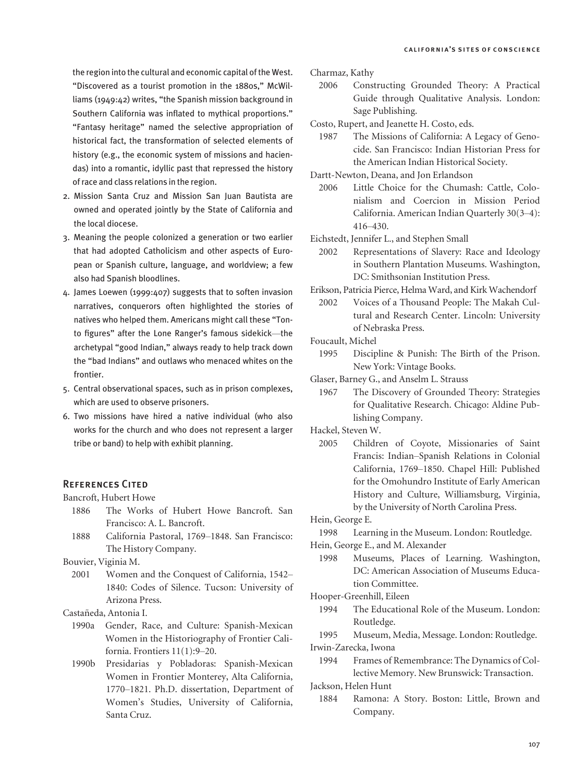the region into the cultural and economic capital of the West. "Discovered as a tourist promotion in the 1880s," McWilliams (1949:42) writes, "the Spanish mission background in Southern California was inflated to mythical proportions." "Fantasy heritage" named the selective appropriation of historical fact, the transformation of selected elements of history (e.g., the economic system of missions and haciendas) into a romantic, idyllic past that repressed the history of race and class relations in the region.

- 2. Mission Santa Cruz and Mission San Juan Bautista are owned and operated jointly by the State of California and the local diocese.
- 3. Meaning the people colonized a generation or two earlier that had adopted Catholicism and other aspects of European or Spanish culture, language, and worldview; a few also had Spanish bloodlines.
- 4. James Loewen (1999:407) suggests that to soften invasion narratives, conquerors often highlighted the stories of natives who helped them. Americans might call these "Tonto figures" after the Lone Ranger's famous sidekick—the archetypal "good Indian," always ready to help track down the "bad Indians" and outlaws who menaced whites on the frontier.
- 5. Central observational spaces, such as in prison complexes, which are used to observe prisoners.
- 6. Two missions have hired a native individual (who also works for the church and who does not represent a larger tribe or band) to help with exhibit planning.

## References Cited

Bancroft, Hubert Howe

- 1886 The Works of Hubert Howe Bancroft. San Francisco: A. L. Bancroft.
- 1888 California Pastoral, 1769–1848. San Francisco: The History Company.

Bouvier, Viginia M.

2001 Women and the Conquest of California, 1542– 1840: Codes of Silence. Tucson: University of Arizona Press.

Castañeda, Antonia I.

1990a Gender, Race, and Culture: Spanish-Mexican Women in the Historiography of Frontier California. Frontiers 11(1):9–20.

1990b Presidarias y Pobladoras: Spanish-Mexican Women in Frontier Monterey, Alta California, 1770–1821. Ph.D. dissertation, Department of Women's Studies, University of California, Santa Cruz.

Charmaz, Kathy

- 2006 Constructing Grounded Theory: A Practical Guide through Qualitative Analysis. London: Sage Publishing.
- Costo, Rupert, and Jeanette H. Costo, eds.
- 1987 The Missions of California: A Legacy of Genocide. San Francisco: Indian Historian Press for the American Indian Historical Society.

Dartt-Newton, Deana, and Jon Erlandson

- 2006 Little Choice for the Chumash: Cattle, Colonialism and Coercion in Mission Period California. American Indian Quarterly 30(3–4): 416–430.
- Eichstedt, Jennifer L., and Stephen Small

2002 Representations of Slavery: Race and Ideology in Southern Plantation Museums. Washington, DC: Smithsonian Institution Press.

Erikson, Patricia Pierce, Helma Ward, and Kirk Wachendorf

- 2002 Voices of a Thousand People: The Makah Cultural and Research Center. Lincoln: University of Nebraska Press.
- Foucault, Michel
	- 1995 Discipline & Punish: The Birth of the Prison. New York: Vintage Books.

Glaser, Barney G., and Anselm L. Strauss

- 1967 The Discovery of Grounded Theory: Strategies for Qualitative Research. Chicago: Aldine Publishing Company.
- Hackel, Steven W.
	- 2005 Children of Coyote, Missionaries of Saint Francis: Indian–Spanish Relations in Colonial California, 1769–1850. Chapel Hill: Published for the Omohundro Institute of Early American History and Culture, Williamsburg, Virginia, by the University of North Carolina Press.

Hein, George E.

1998 Learning in the Museum. London: Routledge.

Hein, George E., and M. Alexander

1998 Museums, Places of Learning. Washington, DC: American Association of Museums Education Committee.

Hooper-Greenhill, Eileen

1994 The Educational Role of the Museum. London: Routledge.

1995 Museum, Media, Message. London: Routledge. Irwin-Zarecka, Iwona

1994 Frames of Remembrance: The Dynamics of Collective Memory. New Brunswick: Transaction.

Jackson, Helen Hunt

1884 Ramona: A Story. Boston: Little, Brown and Company.